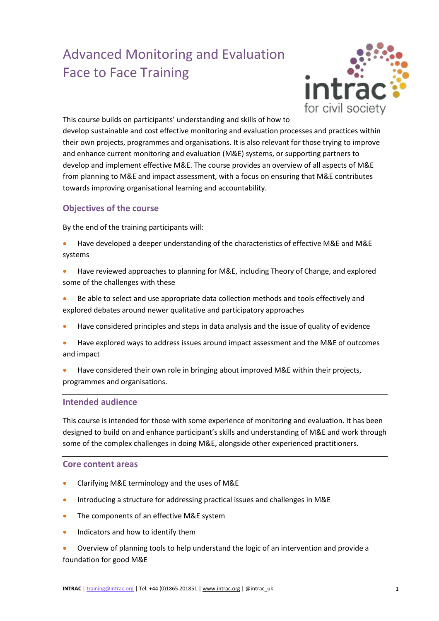# Advanced Monitoring and Evaluation Face to Face Training



This course builds on participants' understanding and skills of how to develop sustainable and cost effective monitoring and evaluation processes and practices within their own projects, programmes and organisations. It is also relevant for those trying to improve and enhance current monitoring and evaluation (M&E) systems, or supporting partners to develop and implement effective M&E. The course provides an overview of all aspects of M&E from planning to M&E and impact assessment, with a focus on ensuring that M&E contributes towards improving organisational learning and accountability.

## **Objectives of the course**

By the end of the training participants will:

- Have developed a deeper understanding of the characteristics of effective M&E and M&E systems
- Have reviewed approaches to planning for M&E, including Theory of Change, and explored some of the challenges with these
- Be able to select and use appropriate data collection methods and tools effectively and explored debates around newer qualitative and participatory approaches
- Have considered principles and steps in data analysis and the issue of quality of evidence
- Have explored ways to address issues around impact assessment and the M&E of outcomes and impact
- Have considered their own role in bringing about improved M&E within their projects, programmes and organisations.

### **Intended audience**

This course is intended for those with some experience of monitoring and evaluation. It has been designed to build on and enhance participant's skills and understanding of M&E and work through some of the complex challenges in doing M&E, alongside other experienced practitioners.

### **Core content areas**

- Clarifying M&E terminology and the uses of M&E
- Introducing a structure for addressing practical issues and challenges in M&E
- The components of an effective M&E system
- Indicators and how to identify them
- Overview of planning tools to help understand the logic of an intervention and provide a foundation for good M&E